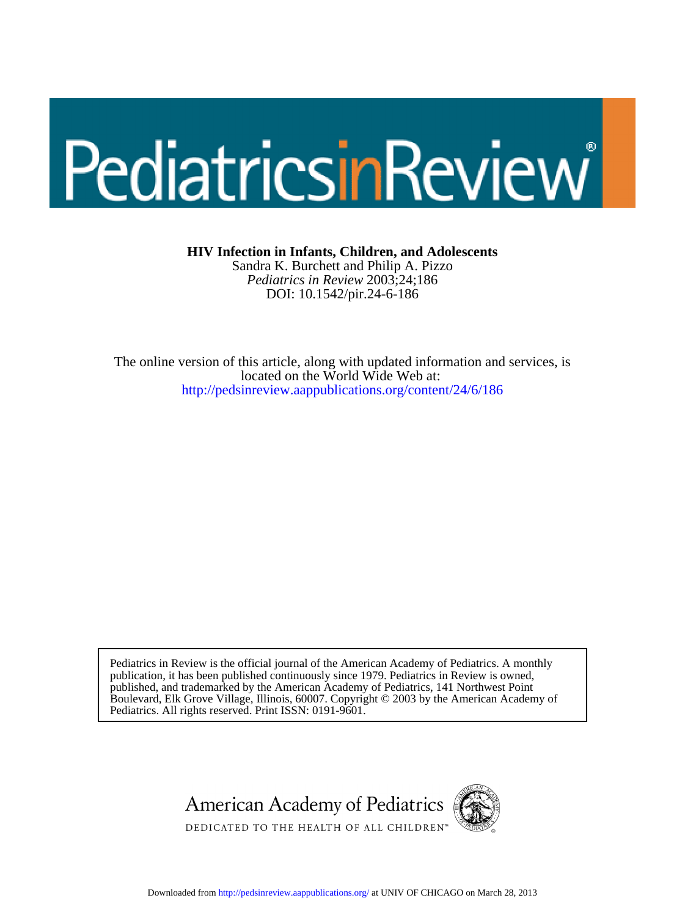# PediatricsinReview

**HIV Infection in Infants, Children, and Adolescents**

DOI: 10.1542/pir.24-6-186 *Pediatrics in Review* 2003;24;186 Sandra K. Burchett and Philip A. Pizzo

<http://pedsinreview.aappublications.org/content/24/6/186> located on the World Wide Web at: The online version of this article, along with updated information and services, is

Pediatrics. All rights reserved. Print ISSN: 0191-9601. Boulevard, Elk Grove Village, Illinois, 60007. Copyright © 2003 by the American Academy of published, and trademarked by the American Academy of Pediatrics, 141 Northwest Point publication, it has been published continuously since 1979. Pediatrics in Review is owned, Pediatrics in Review is the official journal of the American Academy of Pediatrics. A monthly



Downloaded from<http://pedsinreview.aappublications.org/>at UNIV OF CHICAGO on March 28, 2013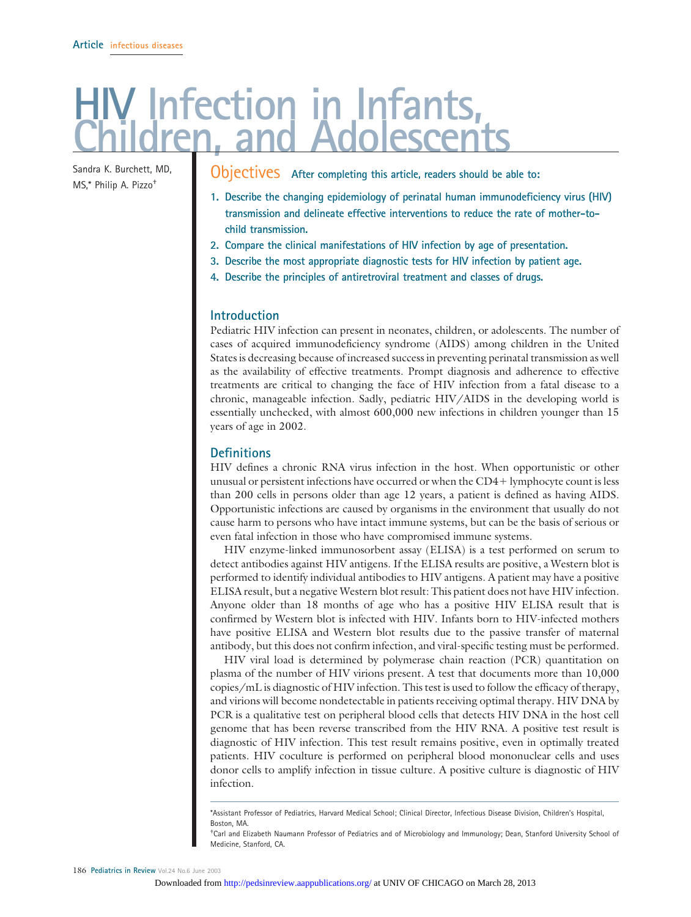## **Highthary in Infants, in**

Sandra K. Burchett, MD,

Sandra K. Burchett, MD, **Objectives** After completing this article, readers should be able to:<br>MS.\* Philip A. Pizzo<sup>+</sup>

- **1. Describe the changing epidemiology of perinatal human immunodeficiency virus (HIV) transmission and delineate effective interventions to reduce the rate of mother-tochild transmission.**
- **2. Compare the clinical manifestations of HIV infection by age of presentation.**
- **3. Describe the most appropriate diagnostic tests for HIV infection by patient age.**
- **4. Describe the principles of antiretroviral treatment and classes of drugs.**

#### **Introduction**

Pediatric HIV infection can present in neonates, children, or adolescents. The number of cases of acquired immunodeficiency syndrome (AIDS) among children in the United States is decreasing because of increased success in preventing perinatal transmission as well as the availability of effective treatments. Prompt diagnosis and adherence to effective treatments are critical to changing the face of HIV infection from a fatal disease to a chronic, manageable infection. Sadly, pediatric HIV/AIDS in the developing world is essentially unchecked, with almost 600,000 new infections in children younger than 15 years of age in 2002.

#### **Definitions**

HIV defines a chronic RNA virus infection in the host. When opportunistic or other unusual or persistent infections have occurred or when the CD4 lymphocyte count is less than 200 cells in persons older than age 12 years, a patient is defined as having AIDS. Opportunistic infections are caused by organisms in the environment that usually do not cause harm to persons who have intact immune systems, but can be the basis of serious or even fatal infection in those who have compromised immune systems.

HIV enzyme-linked immunosorbent assay (ELISA) is a test performed on serum to detect antibodies against HIV antigens. If the ELISA results are positive, a Western blot is performed to identify individual antibodies to HIV antigens. A patient may have a positive ELISA result, but a negative Western blot result: This patient does not have HIV infection. Anyone older than 18 months of age who has a positive HIV ELISA result that is confirmed by Western blot is infected with HIV. Infants born to HIV-infected mothers have positive ELISA and Western blot results due to the passive transfer of maternal antibody, but this does not confirm infection, and viral-specific testing must be performed.

HIV viral load is determined by polymerase chain reaction (PCR) quantitation on plasma of the number of HIV virions present. A test that documents more than 10,000 copies/mL is diagnostic of HIV infection. This test is used to follow the efficacy of therapy, and virions will become nondetectable in patients receiving optimal therapy. HIV DNA by PCR is a qualitative test on peripheral blood cells that detects HIV DNA in the host cell genome that has been reverse transcribed from the HIV RNA. A positive test result is diagnostic of HIV infection. This test result remains positive, even in optimally treated patients. HIV coculture is performed on peripheral blood mononuclear cells and uses donor cells to amplify infection in tissue culture. A positive culture is diagnostic of HIV infection.

<sup>\*</sup>Assistant Professor of Pediatrics, Harvard Medical School; Clinical Director, Infectious Disease Division, Children's Hospital, Boston, MA.

<sup>†</sup> Carl and Elizabeth Naumann Professor of Pediatrics and of Microbiology and Immunology; Dean, Stanford University School of Medicine, Stanford, CA.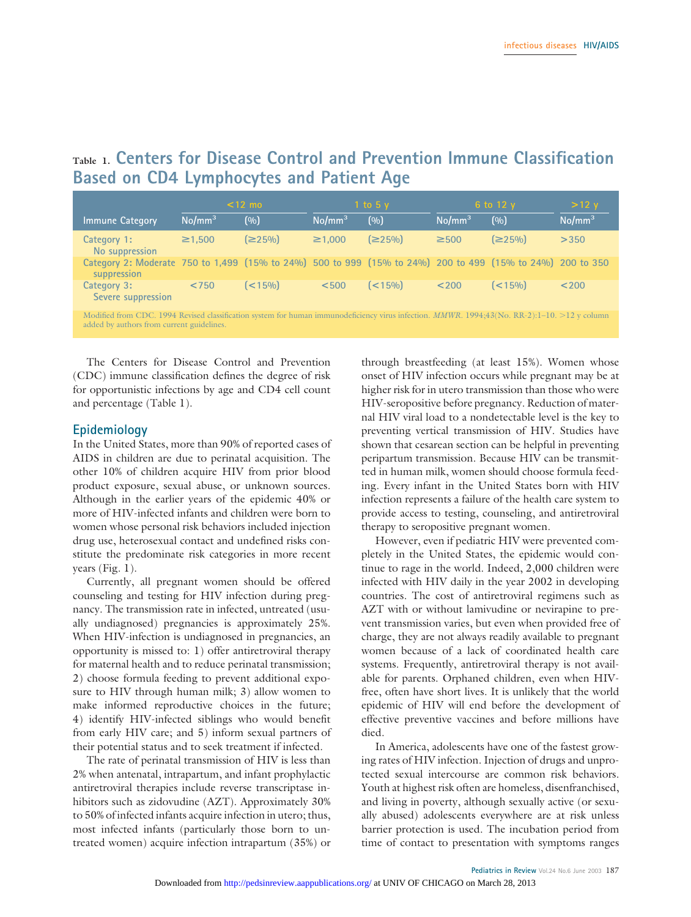## **Table 1. Centers for Disease Control and Prevention Immune Classification Based on CD4 Lymphocytes and Patient Age**

|                                                                                                                                              |                    | $<$ 12 mo  |                    | 1 to 5 $v$ |                    | 6 to 12 y  | $>12$ y            |
|----------------------------------------------------------------------------------------------------------------------------------------------|--------------------|------------|--------------------|------------|--------------------|------------|--------------------|
| <b>Immune Category</b>                                                                                                                       | No/mm <sup>3</sup> | (0/0)      | No/mm <sup>3</sup> | (0/0)      | No/mm <sup>3</sup> | (0/0)      | No/mm <sup>3</sup> |
| Category 1:<br>No suppression                                                                                                                | $\geq 1.500$       | (≥25%)     | $\geq 1.000$       | (≥25%)     | $\geq$ 500         | (≥25%)     | >350               |
| Category 2: Moderate 750 to 1,499 (15% to 24%) 500 to 999 (15% to 24%) 200 to 499 (15% to 24%) 200 to 350<br>suppression                     |                    |            |                    |            |                    |            |                    |
| Category 3:<br>Severe suppression                                                                                                            | < 750              | $($ < 15%) | < 500              | $(< 15\%)$ | < 200              | $($ < 15%) | < 200              |
| Modified from CDC. 1994 Revised classification system for human immunodeficiency virus infection. MMWR. 1994;43(No. RR-2):1-10. >12 y column |                    |            |                    |            |                    |            |                    |

added by authors from current guidelines.

The Centers for Disease Control and Prevention (CDC) immune classification defines the degree of risk for opportunistic infections by age and CD4 cell count and percentage (Table 1).

#### **Epidemiology**

In the United States, more than 90% of reported cases of AIDS in children are due to perinatal acquisition. The other 10% of children acquire HIV from prior blood product exposure, sexual abuse, or unknown sources. Although in the earlier years of the epidemic 40% or more of HIV-infected infants and children were born to women whose personal risk behaviors included injection drug use, heterosexual contact and undefined risks constitute the predominate risk categories in more recent years (Fig. 1).

Currently, all pregnant women should be offered counseling and testing for HIV infection during pregnancy. The transmission rate in infected, untreated (usually undiagnosed) pregnancies is approximately 25%. When HIV-infection is undiagnosed in pregnancies, an opportunity is missed to: 1) offer antiretroviral therapy for maternal health and to reduce perinatal transmission; 2) choose formula feeding to prevent additional exposure to HIV through human milk; 3) allow women to make informed reproductive choices in the future; 4) identify HIV-infected siblings who would benefit from early HIV care; and 5) inform sexual partners of their potential status and to seek treatment if infected.

The rate of perinatal transmission of HIV is less than 2% when antenatal, intrapartum, and infant prophylactic antiretroviral therapies include reverse transcriptase inhibitors such as zidovudine (AZT). Approximately 30% to 50% of infected infants acquire infection in utero; thus, most infected infants (particularly those born to untreated women) acquire infection intrapartum (35%) or

through breastfeeding (at least 15%). Women whose onset of HIV infection occurs while pregnant may be at higher risk for in utero transmission than those who were HIV-seropositive before pregnancy. Reduction of maternal HIV viral load to a nondetectable level is the key to preventing vertical transmission of HIV. Studies have shown that cesarean section can be helpful in preventing peripartum transmission. Because HIV can be transmitted in human milk, women should choose formula feeding. Every infant in the United States born with HIV infection represents a failure of the health care system to provide access to testing, counseling, and antiretroviral therapy to seropositive pregnant women.

However, even if pediatric HIV were prevented completely in the United States, the epidemic would continue to rage in the world. Indeed, 2,000 children were infected with HIV daily in the year 2002 in developing countries. The cost of antiretroviral regimens such as AZT with or without lamivudine or nevirapine to prevent transmission varies, but even when provided free of charge, they are not always readily available to pregnant women because of a lack of coordinated health care systems. Frequently, antiretroviral therapy is not available for parents. Orphaned children, even when HIVfree, often have short lives. It is unlikely that the world epidemic of HIV will end before the development of effective preventive vaccines and before millions have died.

In America, adolescents have one of the fastest growing rates of HIV infection. Injection of drugs and unprotected sexual intercourse are common risk behaviors. Youth at highest risk often are homeless, disenfranchised, and living in poverty, although sexually active (or sexually abused) adolescents everywhere are at risk unless barrier protection is used. The incubation period from time of contact to presentation with symptoms ranges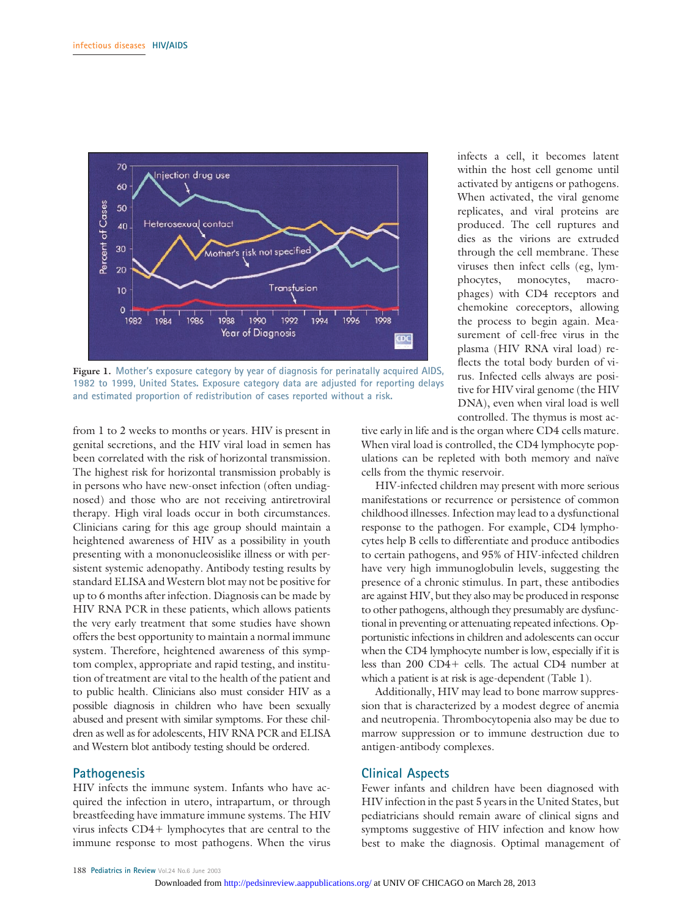

**Figure 1. Mother's exposure category by year of diagnosis for perinatally acquired AIDS, 1982 to 1999, United States. Exposure category data are adjusted for reporting delays and estimated proportion of redistribution of cases reported without a risk.**

from 1 to 2 weeks to months or years. HIV is present in genital secretions, and the HIV viral load in semen has been correlated with the risk of horizontal transmission. The highest risk for horizontal transmission probably is in persons who have new-onset infection (often undiagnosed) and those who are not receiving antiretroviral therapy. High viral loads occur in both circumstances. Clinicians caring for this age group should maintain a heightened awareness of HIV as a possibility in youth presenting with a mononucleosislike illness or with persistent systemic adenopathy. Antibody testing results by standard ELISA and Western blot may not be positive for up to 6 months after infection. Diagnosis can be made by HIV RNA PCR in these patients, which allows patients the very early treatment that some studies have shown offers the best opportunity to maintain a normal immune system. Therefore, heightened awareness of this symptom complex, appropriate and rapid testing, and institution of treatment are vital to the health of the patient and to public health. Clinicians also must consider HIV as a possible diagnosis in children who have been sexually abused and present with similar symptoms. For these children as well as for adolescents, HIV RNA PCR and ELISA and Western blot antibody testing should be ordered.

#### **Pathogenesis**

HIV infects the immune system. Infants who have acquired the infection in utero, intrapartum, or through breastfeeding have immature immune systems. The HIV virus infects CD4+ lymphocytes that are central to the immune response to most pathogens. When the virus

infects a cell, it becomes latent within the host cell genome until activated by antigens or pathogens. When activated, the viral genome replicates, and viral proteins are produced. The cell ruptures and dies as the virions are extruded through the cell membrane. These viruses then infect cells (eg, lymphocytes, monocytes, macrophages) with CD4 receptors and chemokine coreceptors, allowing the process to begin again. Measurement of cell-free virus in the plasma (HIV RNA viral load) reflects the total body burden of virus. Infected cells always are positive for HIV viral genome (the HIV DNA), even when viral load is well controlled. The thymus is most ac-

tive early in life and is the organ where CD4 cells mature. When viral load is controlled, the CD4 lymphocyte populations can be repleted with both memory and naïve cells from the thymic reservoir.

HIV-infected children may present with more serious manifestations or recurrence or persistence of common childhood illnesses. Infection may lead to a dysfunctional response to the pathogen. For example, CD4 lymphocytes help B cells to differentiate and produce antibodies to certain pathogens, and 95% of HIV-infected children have very high immunoglobulin levels, suggesting the presence of a chronic stimulus. In part, these antibodies are against HIV, but they also may be produced in response to other pathogens, although they presumably are dysfunctional in preventing or attenuating repeated infections. Opportunistic infections in children and adolescents can occur when the CD4 lymphocyte number is low, especially if it is less than 200 CD4+ cells. The actual CD4 number at which a patient is at risk is age-dependent (Table 1).

Additionally, HIV may lead to bone marrow suppression that is characterized by a modest degree of anemia and neutropenia. Thrombocytopenia also may be due to marrow suppression or to immune destruction due to antigen-antibody complexes.

#### **Clinical Aspects**

Fewer infants and children have been diagnosed with HIV infection in the past 5 years in the United States, but pediatricians should remain aware of clinical signs and symptoms suggestive of HIV infection and know how best to make the diagnosis. Optimal management of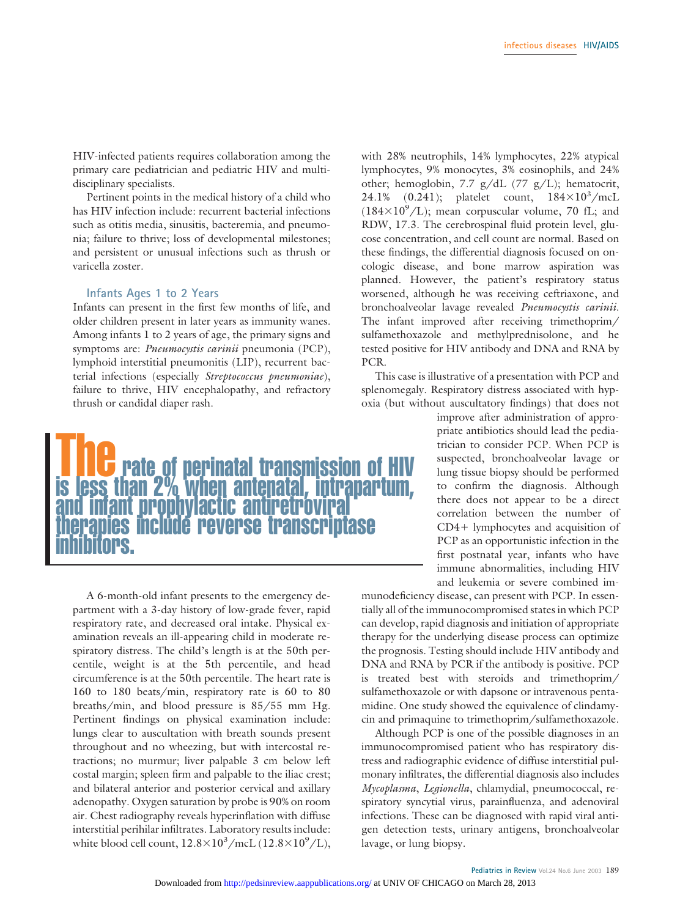HIV-infected patients requires collaboration among the primary care pediatrician and pediatric HIV and multidisciplinary specialists.

Pertinent points in the medical history of a child who has HIV infection include: recurrent bacterial infections such as otitis media, sinusitis, bacteremia, and pneumonia; failure to thrive; loss of developmental milestones; and persistent or unusual infections such as thrush or varicella zoster.

#### **Infants Ages 1 to 2 Years**

Infants can present in the first few months of life, and older children present in later years as immunity wanes. Among infants 1 to 2 years of age, the primary signs and symptoms are: *Pneumocystis carinii* pneumonia (PCP), lymphoid interstitial pneumonitis (LIP), recurrent bacterial infections (especially *Streptococcus pneumoniae*), failure to thrive, HIV encephalopathy, and refractory thrush or candidal diaper rash.



A 6-month-old infant presents to the emergency department with a 3-day history of low-grade fever, rapid respiratory rate, and decreased oral intake. Physical examination reveals an ill-appearing child in moderate respiratory distress. The child's length is at the 50th percentile, weight is at the 5th percentile, and head circumference is at the 50th percentile. The heart rate is 160 to 180 beats/min, respiratory rate is 60 to 80 breaths/min, and blood pressure is 85/55 mm Hg. Pertinent findings on physical examination include: lungs clear to auscultation with breath sounds present throughout and no wheezing, but with intercostal retractions; no murmur; liver palpable 3 cm below left costal margin; spleen firm and palpable to the iliac crest; and bilateral anterior and posterior cervical and axillary adenopathy. Oxygen saturation by probe is 90% on room air. Chest radiography reveals hyperinflation with diffuse interstitial perihilar infiltrates. Laboratory results include: white blood cell count,  $12.8 \times 10^3/\text{mc}L$  ( $12.8 \times 10^9/L$ ),

with 28% neutrophils, 14% lymphocytes, 22% atypical lymphocytes, 9% monocytes, 3% eosinophils, and 24% other; hemoglobin, 7.7 g/dL (77 g/L); hematocrit, 24.1%  $(0.241)$ ; platelet count,  $184\times10^3/mcL$  $(184\times10^9/L)$ ; mean corpuscular volume, 70 fL; and RDW, 17.3. The cerebrospinal fluid protein level, glucose concentration, and cell count are normal. Based on these findings, the differential diagnosis focused on oncologic disease, and bone marrow aspiration was planned. However, the patient's respiratory status worsened, although he was receiving ceftriaxone, and bronchoalveolar lavage revealed *Pneumocystis carinii*. The infant improved after receiving trimethoprim/ sulfamethoxazole and methylprednisolone, and he tested positive for HIV antibody and DNA and RNA by PCR.

This case is illustrative of a presentation with PCP and splenomegaly. Respiratory distress associated with hypoxia (but without auscultatory findings) that does not

> improve after administration of appropriate antibiotics should lead the pediatrician to consider PCP. When PCP is suspected, bronchoalveolar lavage or lung tissue biopsy should be performed to confirm the diagnosis. Although there does not appear to be a direct correlation between the number of  $CD4+$  lymphocytes and acquisition of PCP as an opportunistic infection in the first postnatal year, infants who have immune abnormalities, including HIV and leukemia or severe combined im-

munodeficiency disease, can present with PCP. In essentially all of the immunocompromised states in which PCP can develop, rapid diagnosis and initiation of appropriate therapy for the underlying disease process can optimize the prognosis. Testing should include HIV antibody and DNA and RNA by PCR if the antibody is positive. PCP is treated best with steroids and trimethoprim/ sulfamethoxazole or with dapsone or intravenous pentamidine. One study showed the equivalence of clindamycin and primaquine to trimethoprim/sulfamethoxazole.

Although PCP is one of the possible diagnoses in an immunocompromised patient who has respiratory distress and radiographic evidence of diffuse interstitial pulmonary infiltrates, the differential diagnosis also includes *Mycoplasma*, *Legionella*, chlamydial, pneumococcal, respiratory syncytial virus, parainfluenza, and adenoviral infections. These can be diagnosed with rapid viral antigen detection tests, urinary antigens, bronchoalveolar lavage, or lung biopsy.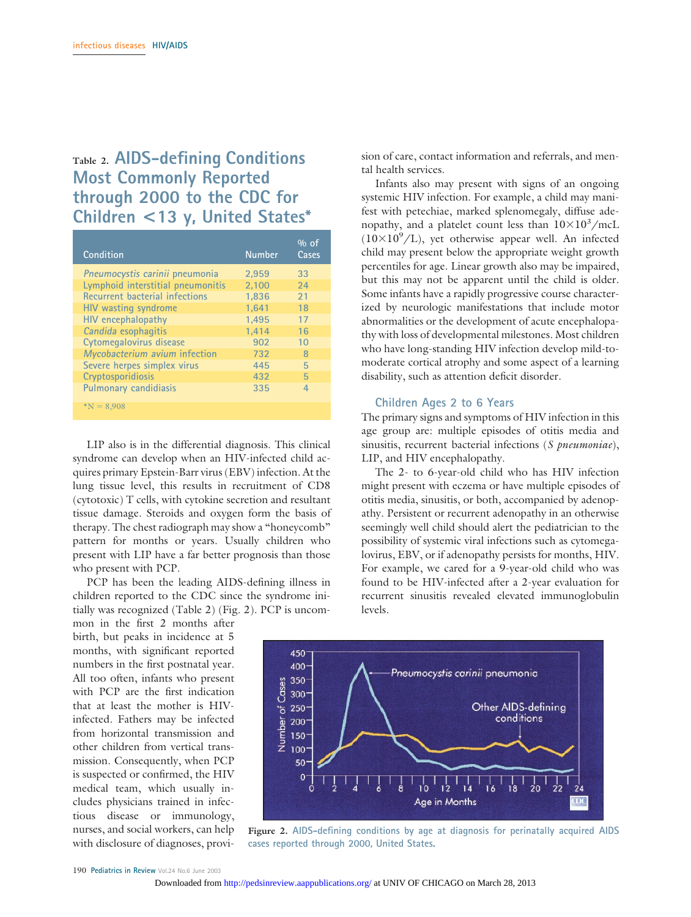## **Table 2. AIDS-defining Conditions Most Commonly Reported through 2000 to the CDC for Children <13 y, United States\***

| Condition                         | <b>Number</b> | $\%$ of<br>Cases |
|-----------------------------------|---------------|------------------|
| Pneumocystis carinii pneumonia    | 2.959         | 33               |
| Lymphoid interstitial pneumonitis | 2.100         | 24               |
| Recurrent bacterial infections    | 1.836         | 21               |
| HIV wasting syndrome              | 1.641         | 18               |
| <b>HIV</b> encephalopathy         | 1.495         | 17               |
| Candida esophagitis               | 1.414         | 16               |
| Cytomegalovirus disease           | 902           | 10               |
| Mycobacterium avium infection     | 732           | 8                |
| Severe herpes simplex virus       | 445           | 5                |
| Cryptosporidiosis                 | 432           | 5                |
| <b>Pulmonary candidiasis</b>      | 335           | 4                |
| $N = 8.908$                       |               |                  |

LIP also is in the differential diagnosis. This clinical syndrome can develop when an HIV-infected child acquires primary Epstein-Barr virus (EBV) infection. At the lung tissue level, this results in recruitment of CD8 (cytotoxic) T cells, with cytokine secretion and resultant tissue damage. Steroids and oxygen form the basis of therapy. The chest radiograph may show a "honeycomb" pattern for months or years. Usually children who present with LIP have a far better prognosis than those who present with PCP.

PCP has been the leading AIDS-defining illness in children reported to the CDC since the syndrome initially was recognized (Table 2) (Fig. 2). PCP is uncom-

mon in the first 2 months after birth, but peaks in incidence at 5 months, with significant reported numbers in the first postnatal year. All too often, infants who present with PCP are the first indication that at least the mother is HIVinfected. Fathers may be infected from horizontal transmission and other children from vertical transmission. Consequently, when PCP is suspected or confirmed, the HIV medical team, which usually includes physicians trained in infectious disease or immunology, nurses, and social workers, can help with disclosure of diagnoses, provision of care, contact information and referrals, and mental health services.

Infants also may present with signs of an ongoing systemic HIV infection. For example, a child may manifest with petechiae, marked splenomegaly, diffuse adenopathy, and a platelet count less than  $10\times10^{3}/\text{mcL}$  $(10\times10^{9}/L)$ , yet otherwise appear well. An infected child may present below the appropriate weight growth percentiles for age. Linear growth also may be impaired, but this may not be apparent until the child is older. Some infants have a rapidly progressive course characterized by neurologic manifestations that include motor abnormalities or the development of acute encephalopathy with loss of developmental milestones. Most children who have long-standing HIV infection develop mild-tomoderate cortical atrophy and some aspect of a learning disability, such as attention deficit disorder.

#### **Children Ages 2 to 6 Years**

The primary signs and symptoms of HIV infection in this age group are: multiple episodes of otitis media and sinusitis, recurrent bacterial infections (*S pneumoniae*), LIP, and HIV encephalopathy.

The 2- to 6-year-old child who has HIV infection might present with eczema or have multiple episodes of otitis media, sinusitis, or both, accompanied by adenopathy. Persistent or recurrent adenopathy in an otherwise seemingly well child should alert the pediatrician to the possibility of systemic viral infections such as cytomegalovirus, EBV, or if adenopathy persists for months, HIV. For example, we cared for a 9-year-old child who was found to be HIV-infected after a 2-year evaluation for recurrent sinusitis revealed elevated immunoglobulin levels.



**Figure 2. AIDS-defining conditions by age at diagnosis for perinatally acquired AIDS cases reported through 2000, United States.**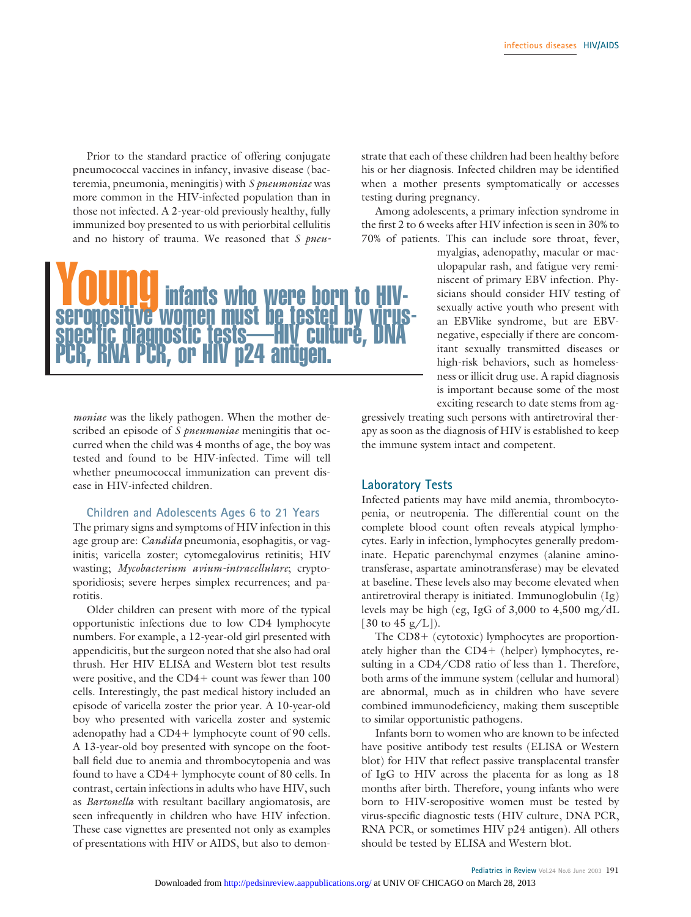Prior to the standard practice of offering conjugate pneumococcal vaccines in infancy, invasive disease (bacteremia, pneumonia, meningitis) with *S pneumoniae* was more common in the HIV-infected population than in those not infected. A 2-year-old previously healthy, fully immunized boy presented to us with periorbital cellulitis and no history of trauma. We reasoned that *S pneu-*



*moniae* was the likely pathogen. When the mother described an episode of *S pneumoniae* meningitis that occurred when the child was 4 months of age, the boy was tested and found to be HIV-infected. Time will tell whether pneumococcal immunization can prevent disease in HIV-infected children.

#### **Children and Adolescents Ages 6 to 21 Years**

The primary signs and symptoms of HIV infection in this age group are: *Candida* pneumonia, esophagitis, or vaginitis; varicella zoster; cytomegalovirus retinitis; HIV wasting; *Mycobacterium avium-intracellulare*; cryptosporidiosis; severe herpes simplex recurrences; and parotitis.

Older children can present with more of the typical opportunistic infections due to low CD4 lymphocyte numbers. For example, a 12-year-old girl presented with appendicitis, but the surgeon noted that she also had oral thrush. Her HIV ELISA and Western blot test results were positive, and the  $CD4+$  count was fewer than  $100$ cells. Interestingly, the past medical history included an episode of varicella zoster the prior year. A 10-year-old boy who presented with varicella zoster and systemic adenopathy had a CD4+ lymphocyte count of 90 cells. A 13-year-old boy presented with syncope on the football field due to anemia and thrombocytopenia and was found to have a CD4+ lymphocyte count of 80 cells. In contrast, certain infections in adults who have HIV, such as *Bartonella* with resultant bacillary angiomatosis, are seen infrequently in children who have HIV infection. These case vignettes are presented not only as examples of presentations with HIV or AIDS, but also to demonstrate that each of these children had been healthy before his or her diagnosis. Infected children may be identified when a mother presents symptomatically or accesses testing during pregnancy.

Among adolescents, a primary infection syndrome in the first 2 to 6 weeks after HIV infection is seen in 30% to 70% of patients. This can include sore throat, fever,

> myalgias, adenopathy, macular or maculopapular rash, and fatigue very reminiscent of primary EBV infection. Physicians should consider HIV testing of sexually active youth who present with an EBVlike syndrome, but are EBVnegative, especially if there are concomitant sexually transmitted diseases or high-risk behaviors, such as homelessness or illicit drug use. A rapid diagnosis is important because some of the most exciting research to date stems from ag-

gressively treating such persons with antiretroviral therapy as soon as the diagnosis of HIV is established to keep the immune system intact and competent.

#### **Laboratory Tests**

Infected patients may have mild anemia, thrombocytopenia, or neutropenia. The differential count on the complete blood count often reveals atypical lymphocytes. Early in infection, lymphocytes generally predominate. Hepatic parenchymal enzymes (alanine aminotransferase, aspartate aminotransferase) may be elevated at baseline. These levels also may become elevated when antiretroviral therapy is initiated. Immunoglobulin (Ig) levels may be high (eg, IgG of 3,000 to 4,500 mg/dL [30 to 45  $g/L$ ]).

The  $CD8+$  (cytotoxic) lymphocytes are proportionately higher than the  $CD4+$  (helper) lymphocytes, resulting in a CD4/CD8 ratio of less than 1. Therefore, both arms of the immune system (cellular and humoral) are abnormal, much as in children who have severe combined immunodeficiency, making them susceptible to similar opportunistic pathogens.

Infants born to women who are known to be infected have positive antibody test results (ELISA or Western blot) for HIV that reflect passive transplacental transfer of IgG to HIV across the placenta for as long as 18 months after birth. Therefore, young infants who were born to HIV-seropositive women must be tested by virus-specific diagnostic tests (HIV culture, DNA PCR, RNA PCR, or sometimes HIV p24 antigen). All others should be tested by ELISA and Western blot.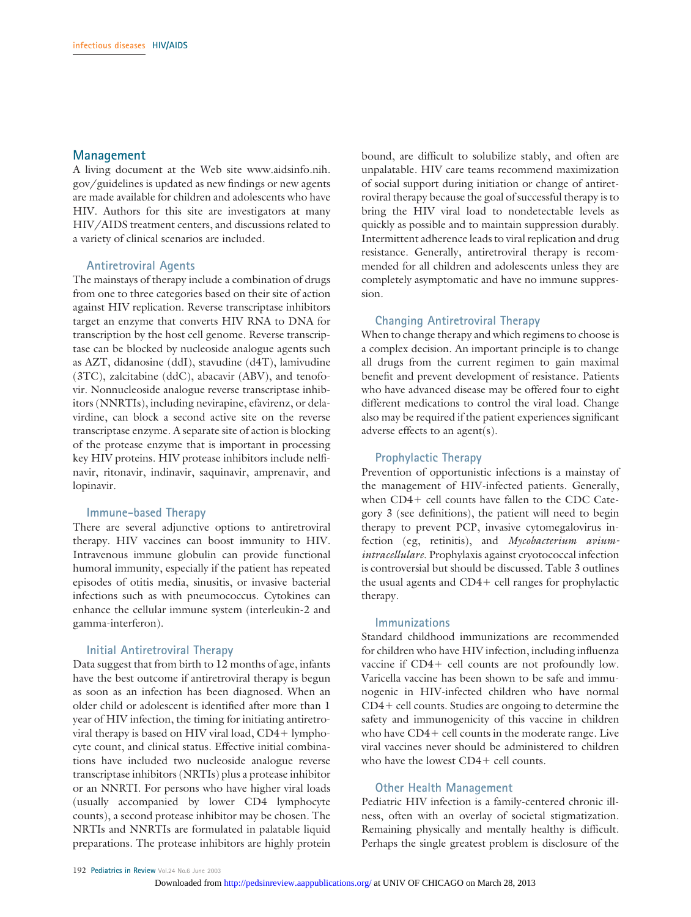#### **Management**

A living document at the Web site www.aidsinfo.nih. gov/guidelines is updated as new findings or new agents are made available for children and adolescents who have HIV. Authors for this site are investigators at many HIV/AIDS treatment centers, and discussions related to a variety of clinical scenarios are included.

#### **Antiretroviral Agents**

The mainstays of therapy include a combination of drugs from one to three categories based on their site of action against HIV replication. Reverse transcriptase inhibitors target an enzyme that converts HIV RNA to DNA for transcription by the host cell genome. Reverse transcriptase can be blocked by nucleoside analogue agents such as AZT, didanosine (ddI), stavudine (d4T), lamivudine (3TC), zalcitabine (ddC), abacavir (ABV), and tenofovir. Nonnucleoside analogue reverse transcriptase inhibitors (NNRTIs), including nevirapine, efavirenz, or delavirdine, can block a second active site on the reverse transcriptase enzyme. A separate site of action is blocking of the protease enzyme that is important in processing key HIV proteins. HIV protease inhibitors include nelfinavir, ritonavir, indinavir, saquinavir, amprenavir, and lopinavir.

#### **Immune-based Therapy**

There are several adjunctive options to antiretroviral therapy. HIV vaccines can boost immunity to HIV. Intravenous immune globulin can provide functional humoral immunity, especially if the patient has repeated episodes of otitis media, sinusitis, or invasive bacterial infections such as with pneumococcus. Cytokines can enhance the cellular immune system (interleukin-2 and gamma-interferon).

#### **Initial Antiretroviral Therapy**

Data suggest that from birth to 12 months of age, infants have the best outcome if antiretroviral therapy is begun as soon as an infection has been diagnosed. When an older child or adolescent is identified after more than 1 year of HIV infection, the timing for initiating antiretroviral therapy is based on HIV viral load, CD4+ lymphocyte count, and clinical status. Effective initial combinations have included two nucleoside analogue reverse transcriptase inhibitors (NRTIs) plus a protease inhibitor or an NNRTI. For persons who have higher viral loads (usually accompanied by lower CD4 lymphocyte counts), a second protease inhibitor may be chosen. The NRTIs and NNRTIs are formulated in palatable liquid preparations. The protease inhibitors are highly protein

bound, are difficult to solubilize stably, and often are unpalatable. HIV care teams recommend maximization of social support during initiation or change of antiretroviral therapy because the goal of successful therapy is to bring the HIV viral load to nondetectable levels as quickly as possible and to maintain suppression durably. Intermittent adherence leads to viral replication and drug resistance. Generally, antiretroviral therapy is recommended for all children and adolescents unless they are completely asymptomatic and have no immune suppression.

#### **Changing Antiretroviral Therapy**

When to change therapy and which regimens to choose is a complex decision. An important principle is to change all drugs from the current regimen to gain maximal benefit and prevent development of resistance. Patients who have advanced disease may be offered four to eight different medications to control the viral load. Change also may be required if the patient experiences significant adverse effects to an agent(s).

#### **Prophylactic Therapy**

Prevention of opportunistic infections is a mainstay of the management of HIV-infected patients. Generally, when  $CD4+$  cell counts have fallen to the CDC Category 3 (see definitions), the patient will need to begin therapy to prevent PCP, invasive cytomegalovirus infection (eg, retinitis), and *Mycobacterium aviumintracellulare*. Prophylaxis against cryotococcal infection is controversial but should be discussed. Table 3 outlines the usual agents and  $CD4+$  cell ranges for prophylactic therapy.

#### **Immunizations**

Standard childhood immunizations are recommended for children who have HIV infection, including influenza vaccine if  $CD4+$  cell counts are not profoundly low. Varicella vaccine has been shown to be safe and immunogenic in HIV-infected children who have normal  $CD4+$  cell counts. Studies are ongoing to determine the safety and immunogenicity of this vaccine in children who have  $CD4+$  cell counts in the moderate range. Live viral vaccines never should be administered to children who have the lowest  $CD4+$  cell counts.

#### **Other Health Management**

Pediatric HIV infection is a family-centered chronic illness, often with an overlay of societal stigmatization. Remaining physically and mentally healthy is difficult. Perhaps the single greatest problem is disclosure of the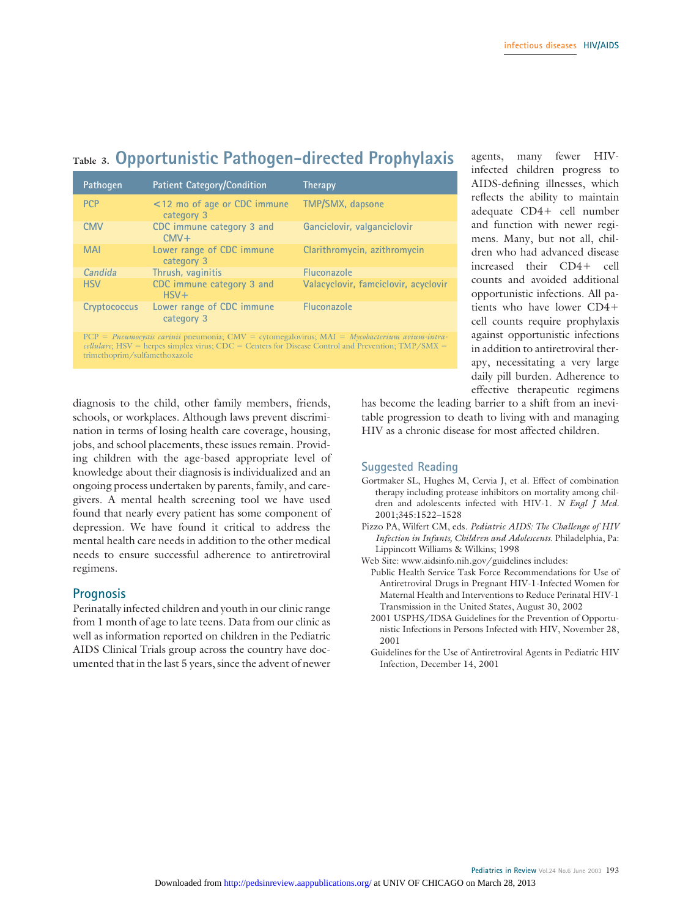## **Table 3. Opportunistic Pathogen-directed Prophylaxis**

| Pathogen     | Patient Category/Condition                | Therapy                                                                                                                           |
|--------------|-------------------------------------------|-----------------------------------------------------------------------------------------------------------------------------------|
| <b>PCP</b>   | <12 mo of age or CDC immune<br>category 3 | TMP/SMX, dapsone                                                                                                                  |
| <b>CMV</b>   | CDC immune category 3 and<br>$CMV +$      | Ganciclovir, valganciclovir                                                                                                       |
| <b>MAI</b>   | Lower range of CDC immune<br>category 3   | Clarithromycin, azithromycin                                                                                                      |
| Candida      | Thrush, vaginitis                         | <b>Fluconazole</b>                                                                                                                |
| <b>HSV</b>   | CDC immune category 3 and<br>$HSV +$      | Valacyclovir, famciclovir, acyclovir                                                                                              |
| Cryptococcus | Lower range of CDC immune<br>category 3   | <b>Fluconazole</b>                                                                                                                |
|              |                                           | $DCD = P_{MOMMOS}$ control coming programoria: $C\text{MV} = \text{cutome}$ $M\Delta I = M_{MOS}$ to the computer anisomic system |

PCP *Pneumocystis carinii* pneumonia; CMV cytomegalovirus; MAI *Mycobacterium avium-intracellulare*; HSV = herpes simplex virus; CDC = Centers for Disease Control and Prevention; TMP/SMX = trimethoprim/sulfamethoxazole

agents, many fewer HIVinfected children progress to AIDS-defining illnesses, which reflects the ability to maintain adequate CD4+ cell number and function with newer regimens. Many, but not all, children who had advanced disease increased their CD4+ cell counts and avoided additional opportunistic infections. All patients who have lower CD4 cell counts require prophylaxis against opportunistic infections in addition to antiretroviral therapy, necessitating a very large daily pill burden. Adherence to effective therapeutic regimens

diagnosis to the child, other family members, friends, schools, or workplaces. Although laws prevent discrimination in terms of losing health care coverage, housing, jobs, and school placements, these issues remain. Providing children with the age-based appropriate level of knowledge about their diagnosis is individualized and an ongoing process undertaken by parents, family, and caregivers. A mental health screening tool we have used found that nearly every patient has some component of depression. We have found it critical to address the mental health care needs in addition to the other medical needs to ensure successful adherence to antiretroviral regimens.

#### **Prognosis**

Perinatally infected children and youth in our clinic range from 1 month of age to late teens. Data from our clinic as well as information reported on children in the Pediatric AIDS Clinical Trials group across the country have documented that in the last 5 years, since the advent of newer has become the leading barrier to a shift from an inevitable progression to death to living with and managing HIV as a chronic disease for most affected children.

#### **Suggested Reading**

- Gortmaker SL, Hughes M, Cervia J, et al. Effect of combination therapy including protease inhibitors on mortality among children and adolescents infected with HIV-1. *N Engl J Med.* 2001;345:1522–1528
- Pizzo PA, Wilfert CM, eds. *Pediatric AIDS: The Challenge of HIV Infection in Infants, Children and Adolescents*. Philadelphia, Pa: Lippincott Williams & Wilkins; 1998
- Web Site: www.aidsinfo.nih.gov/guidelines includes:
- Public Health Service Task Force Recommendations for Use of Antiretroviral Drugs in Pregnant HIV-1-Infected Women for Maternal Health and Interventions to Reduce Perinatal HIV-1 Transmission in the United States, August 30, 2002
- 2001 USPHS/IDSA Guidelines for the Prevention of Opportunistic Infections in Persons Infected with HIV, November 28, 2001
- Guidelines for the Use of Antiretroviral Agents in Pediatric HIV Infection, December 14, 2001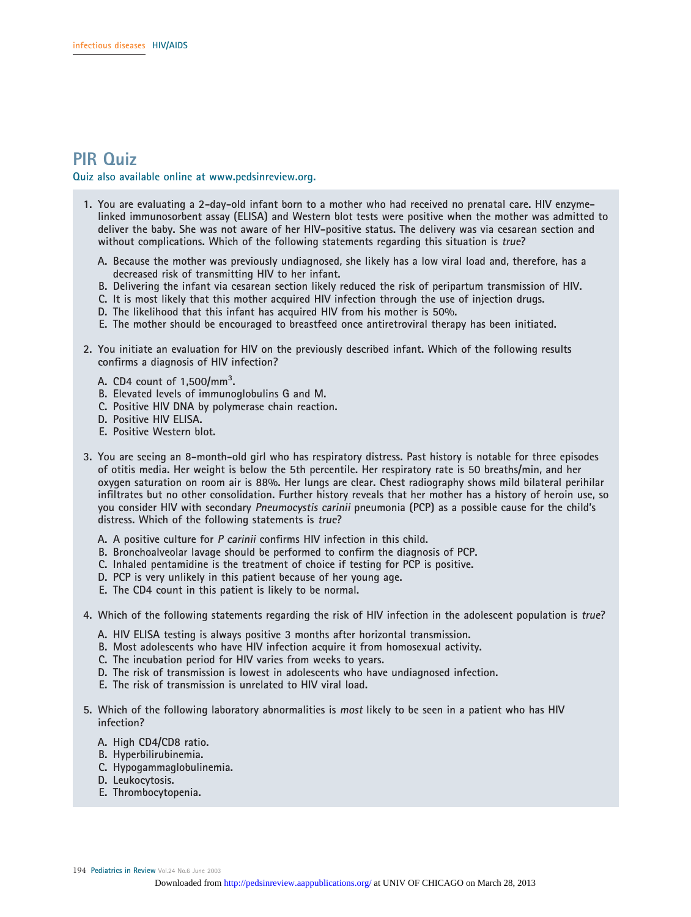### **PIR Quiz**

#### **Quiz also available online at www.pedsinreview.org.**

- **1. You are evaluating a 2-day-old infant born to a mother who had received no prenatal care. HIV enzymelinked immunosorbent assay (ELISA) and Western blot tests were positive when the mother was admitted to deliver the baby. She was not aware of her HIV-positive status. The delivery was via cesarean section and without complications. Which of the following statements regarding this situation is true?**
	- **A. Because the mother was previously undiagnosed, she likely has a low viral load and, therefore, has a decreased risk of transmitting HIV to her infant.**
	- **B. Delivering the infant via cesarean section likely reduced the risk of peripartum transmission of HIV.**
	- **C. It is most likely that this mother acquired HIV infection through the use of injection drugs.**
	- **D. The likelihood that this infant has acquired HIV from his mother is 50%.**
	- **E. The mother should be encouraged to breastfeed once antiretroviral therapy has been initiated.**
- **2. You initiate an evaluation for HIV on the previously described infant. Which of the following results confirms a diagnosis of HIV infection?**
	- **A. CD4 count of 1,500/mm3 .**
	- **B. Elevated levels of immunoglobulins G and M.**
	- **C. Positive HIV DNA by polymerase chain reaction.**
	- **D. Positive HIV ELISA.**
	- **E. Positive Western blot.**
- **3. You are seeing an 8-month-old girl who has respiratory distress. Past history is notable for three episodes of otitis media. Her weight is below the 5th percentile. Her respiratory rate is 50 breaths/min, and her oxygen saturation on room air is 88%. Her lungs are clear. Chest radiography shows mild bilateral perihilar infiltrates but no other consolidation. Further history reveals that her mother has a history of heroin use, so you consider HIV with secondary Pneumocystis carinii pneumonia (PCP) as a possible cause for the child's distress. Which of the following statements is true?**
	- **A. A positive culture for <sup>P</sup> carinii confirms HIV infection in this child.**
	- **B. Bronchoalveolar lavage should be performed to confirm the diagnosis of PCP.**
	- **C. Inhaled pentamidine is the treatment of choice if testing for PCP is positive.**
	- **D. PCP is very unlikely in this patient because of her young age.**
	- **E. The CD4 count in this patient is likely to be normal.**
- **4. Which of the following statements regarding the risk of HIV infection in the adolescent population is true?**
	- **A. HIV ELISA testing is always positive 3 months after horizontal transmission.**
	- **B. Most adolescents who have HIV infection acquire it from homosexual activity.**
	- **C. The incubation period for HIV varies from weeks to years.**
	- **D. The risk of transmission is lowest in adolescents who have undiagnosed infection.**
	- **E. The risk of transmission is unrelated to HIV viral load.**
- **5. Which of the following laboratory abnormalities is most likely to be seen in a patient who has HIV infection?**
	- **A. High CD4/CD8 ratio.**
	- **B. Hyperbilirubinemia.**
	- **C. Hypogammaglobulinemia.**
	- **D. Leukocytosis.**
	- **E. Thrombocytopenia.**